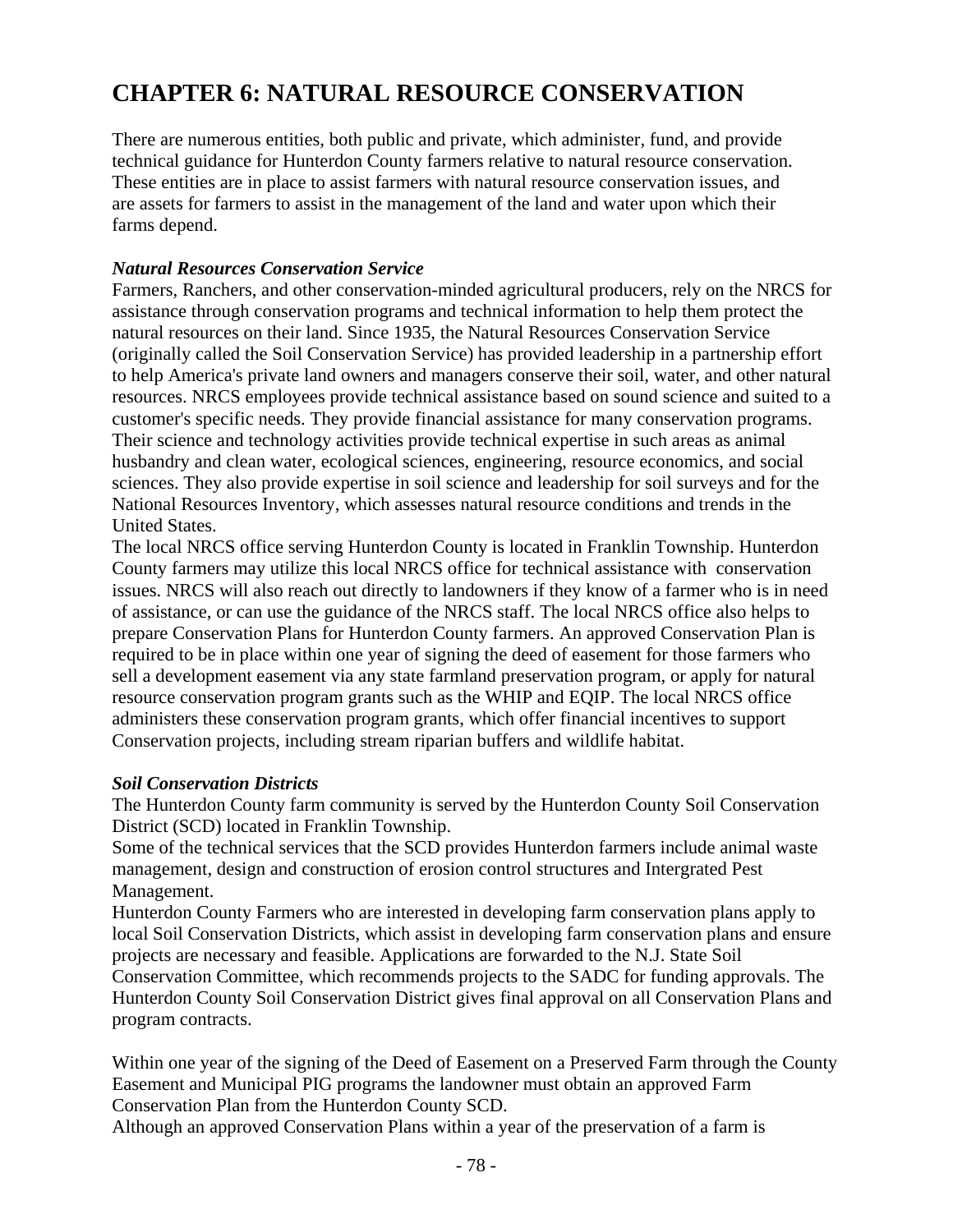# **CHAPTER 6: NATURAL RESOURCE CONSERVATION**

There are numerous entities, both public and private, which administer, fund, and provide technical guidance for Hunterdon County farmers relative to natural resource conservation. These entities are in place to assist farmers with natural resource conservation issues, and are assets for farmers to assist in the management of the land and water upon which their farms depend.

### *Natural Resources Conservation Service*

Farmers, Ranchers, and other conservation-minded agricultural producers, rely on the NRCS for assistance through conservation programs and technical information to help them protect the natural resources on their land. Since 1935, the Natural Resources Conservation Service (originally called the Soil Conservation Service) has provided leadership in a partnership effort to help America's private land owners and managers conserve their soil, water, and other natural resources. NRCS employees provide technical assistance based on sound science and suited to a customer's specific needs. They provide financial assistance for many conservation programs. Their science and technology activities provide technical expertise in such areas as animal husbandry and clean water, ecological sciences, engineering, resource economics, and social sciences. They also provide expertise in soil science and leadership for soil surveys and for the National Resources Inventory, which assesses natural resource conditions and trends in the United States.

The local NRCS office serving Hunterdon County is located in Franklin Township. Hunterdon County farmers may utilize this local NRCS office for technical assistance with conservation issues. NRCS will also reach out directly to landowners if they know of a farmer who is in need of assistance, or can use the guidance of the NRCS staff. The local NRCS office also helps to prepare Conservation Plans for Hunterdon County farmers. An approved Conservation Plan is required to be in place within one year of signing the deed of easement for those farmers who sell a development easement via any state farmland preservation program, or apply for natural resource conservation program grants such as the WHIP and EQIP. The local NRCS office administers these conservation program grants, which offer financial incentives to support Conservation projects, including stream riparian buffers and wildlife habitat.

### *Soil Conservation Districts*

 The Hunterdon County farm community is served by the Hunterdon County Soil Conservation District (SCD) located in Franklin Township.

 Some of the technical services that the SCD provides Hunterdon farmers include animal waste management, design and construction of erosion control structures and Intergrated Pest Management.

Hunterdon County Farmers who are interested in developing farm conservation plans apply to local Soil Conservation Districts, which assist in developing farm conservation plans and ensure projects are necessary and feasible. Applications are forwarded to the N.J. State Soil Conservation Committee, which recommends projects to the SADC for funding approvals. The Hunterdon County Soil Conservation District gives final approval on all Conservation Plans and program contracts.

 Within one year of the signing of the Deed of Easement on a Preserved Farm through the County Easement and Municipal PIG programs the landowner must obtain an approved Farm Conservation Plan from the Hunterdon County SCD.

Although an approved Conservation Plans within a year of the preservation of a farm is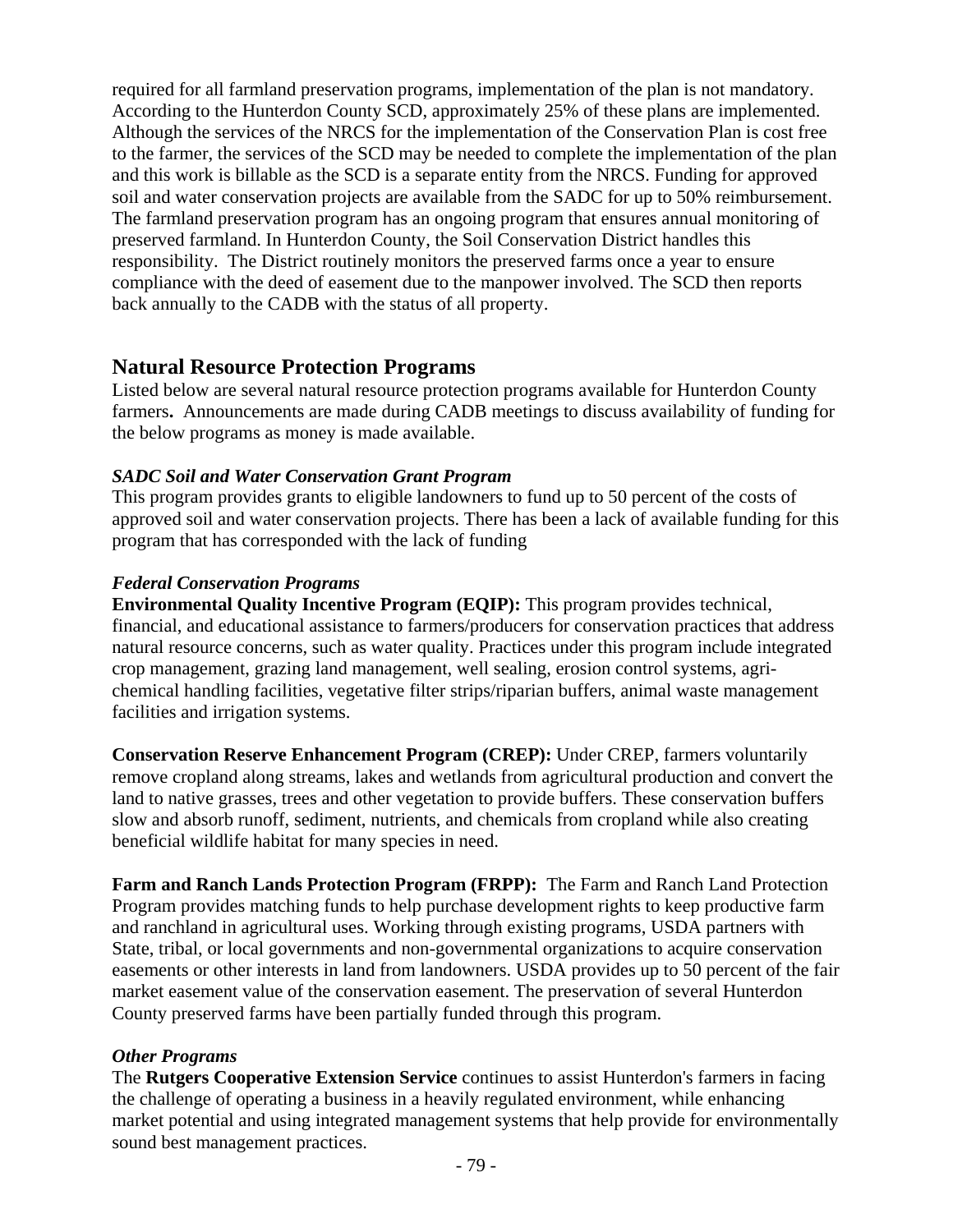required for all farmland preservation programs, implementation of the plan is not mandatory. According to the Hunterdon County SCD, approximately 25% of these plans are implemented. Although the services of the NRCS for the implementation of the Conservation Plan is cost free to the farmer, the services of the SCD may be needed to complete the implementation of the plan and this work is billable as the SCD is a separate entity from the NRCS. Funding for approved soil and water conservation projects are available from the SADC for up to 50% reimbursement. The farmland preservation program has an ongoing program that ensures annual monitoring of preserved farmland. In Hunterdon County, the Soil Conservation District handles this responsibility. The District routinely monitors the preserved farms once a year to ensure compliance with the deed of easement due to the manpower involved. The SCD then reports back annually to the CADB with the status of all property.

# **Natural Resource Protection Programs**

Listed below are several natural resource protection programs available for Hunterdon County farmers**.** Announcements are made during CADB meetings to discuss availability of funding for the below programs as money is made available.

# *SADC Soil and Water Conservation Grant Program*

This program provides grants to eligible landowners to fund up to 50 percent of the costs of approved soil and water conservation projects. There has been a lack of available funding for this program that has corresponded with the lack of funding

# *Federal Conservation Programs*

**Environmental Quality Incentive Program (EQIP):** This program provides technical, financial, and educational assistance to farmers/producers for conservation practices that address natural resource concerns, such as water quality. Practices under this program include integrated crop management, grazing land management, well sealing, erosion control systems, agrichemical handling facilities, vegetative filter strips/riparian buffers, animal waste management facilities and irrigation systems.

**Conservation Reserve Enhancement Program (CREP):** Under CREP, farmers voluntarily remove cropland along streams, lakes and wetlands from agricultural production and convert the land to native grasses, trees and other vegetation to provide buffers. These conservation buffers slow and absorb runoff, sediment, nutrients, and chemicals from cropland while also creating beneficial wildlife habitat for many species in need.

**Farm and Ranch Lands Protection Program (FRPP):** The Farm and Ranch Land Protection Program provides matching funds to help purchase development rights to keep productive farm and ranchland in agricultural uses. Working through existing programs, USDA partners with State, tribal, or local governments and non-governmental organizations to acquire conservation easements or other interests in land from landowners. USDA provides up to 50 percent of the fair market easement value of the conservation easement. The preservation of several Hunterdon County preserved farms have been partially funded through this program.

### *Other Programs*

The **Rutgers Cooperative Extension Service** continues to assist Hunterdon's farmers in facing the challenge of operating a business in a heavily regulated environment, while enhancing market potential and using integrated management systems that help provide for environmentally sound best management practices.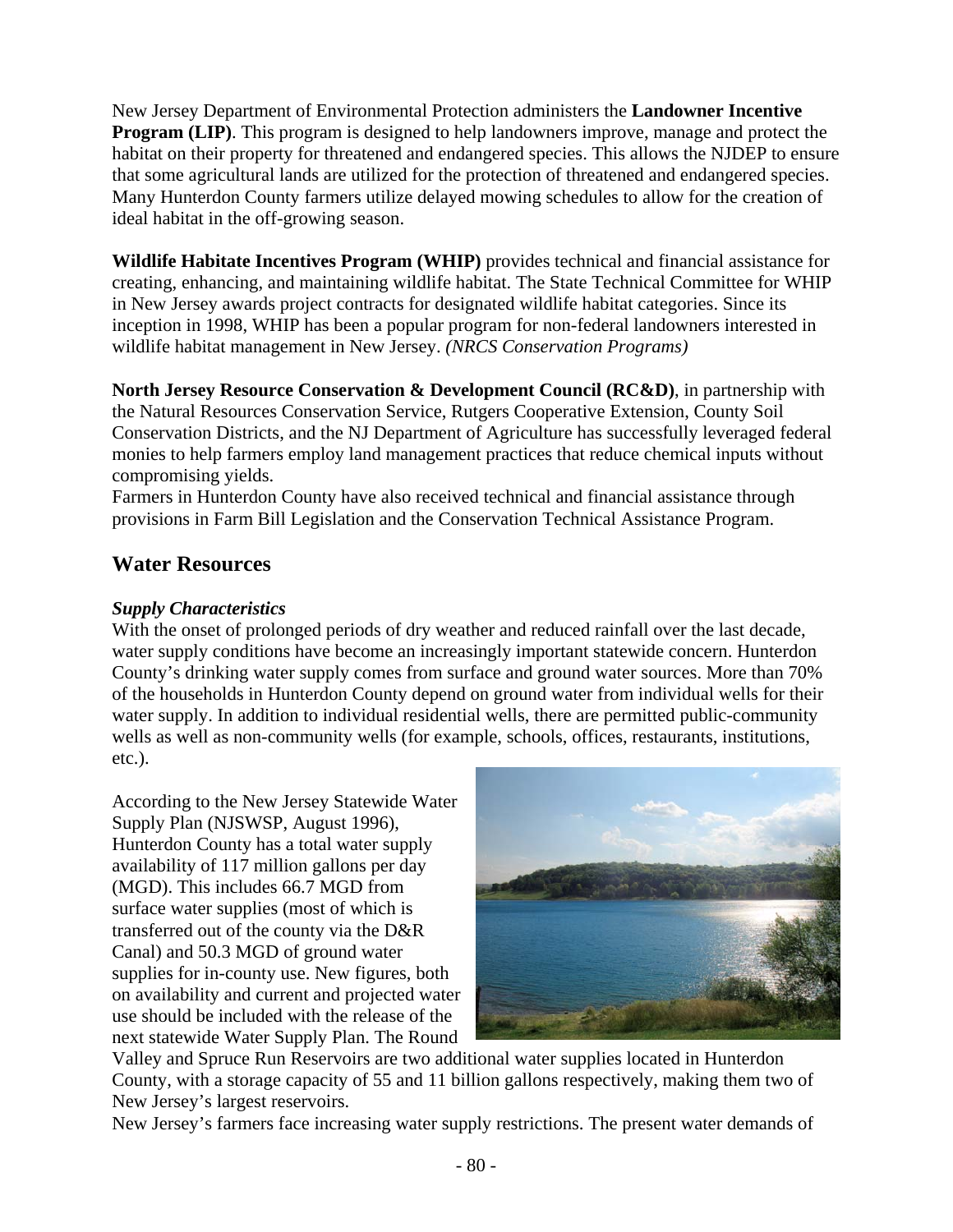New Jersey Department of Environmental Protection administers the **Landowner Incentive Program (LIP)**. This program is designed to help landowners improve, manage and protect the habitat on their property for threatened and endangered species. This allows the NJDEP to ensure that some agricultural lands are utilized for the protection of threatened and endangered species. Many Hunterdon County farmers utilize delayed mowing schedules to allow for the creation of ideal habitat in the off-growing season.

**Wildlife Habitate Incentives Program (WHIP)** provides technical and financial assistance for creating, enhancing, and maintaining wildlife habitat. The State Technical Committee for WHIP in New Jersey awards project contracts for designated wildlife habitat categories. Since its inception in 1998, WHIP has been a popular program for non-federal landowners interested in wildlife habitat management in New Jersey. *(NRCS Conservation Programs)*

**North Jersey Resource Conservation & Development Council (RC&D)**, in partnership with the Natural Resources Conservation Service, Rutgers Cooperative Extension, County Soil Conservation Districts, and the NJ Department of Agriculture has successfully leveraged federal monies to help farmers employ land management practices that reduce chemical inputs without compromising yields.

Farmers in Hunterdon County have also received technical and financial assistance through provisions in Farm Bill Legislation and the Conservation Technical Assistance Program.

# **Water Resources**

# *Supply Characteristics*

With the onset of prolonged periods of dry weather and reduced rainfall over the last decade, water supply conditions have become an increasingly important statewide concern. Hunterdon County's drinking water supply comes from surface and ground water sources. More than 70% of the households in Hunterdon County depend on ground water from individual wells for their water supply. In addition to individual residential wells, there are permitted public-community wells as well as non-community wells (for example, schools, offices, restaurants, institutions, etc.).

According to the New Jersey Statewide Water Supply Plan (NJSWSP, August 1996), Hunterdon County has a total water supply availability of 117 million gallons per day (MGD). This includes 66.7 MGD from surface water supplies (most of which is transferred out of the county via the D&R Canal) and 50.3 MGD of ground water supplies for in-county use. New figures, both on availability and current and projected water use should be included with the release of the next statewide Water Supply Plan. The Round



Valley and Spruce Run Reservoirs are two additional water supplies located in Hunterdon County, with a storage capacity of 55 and 11 billion gallons respectively, making them two of New Jersey's largest reservoirs.

New Jersey's farmers face increasing water supply restrictions. The present water demands of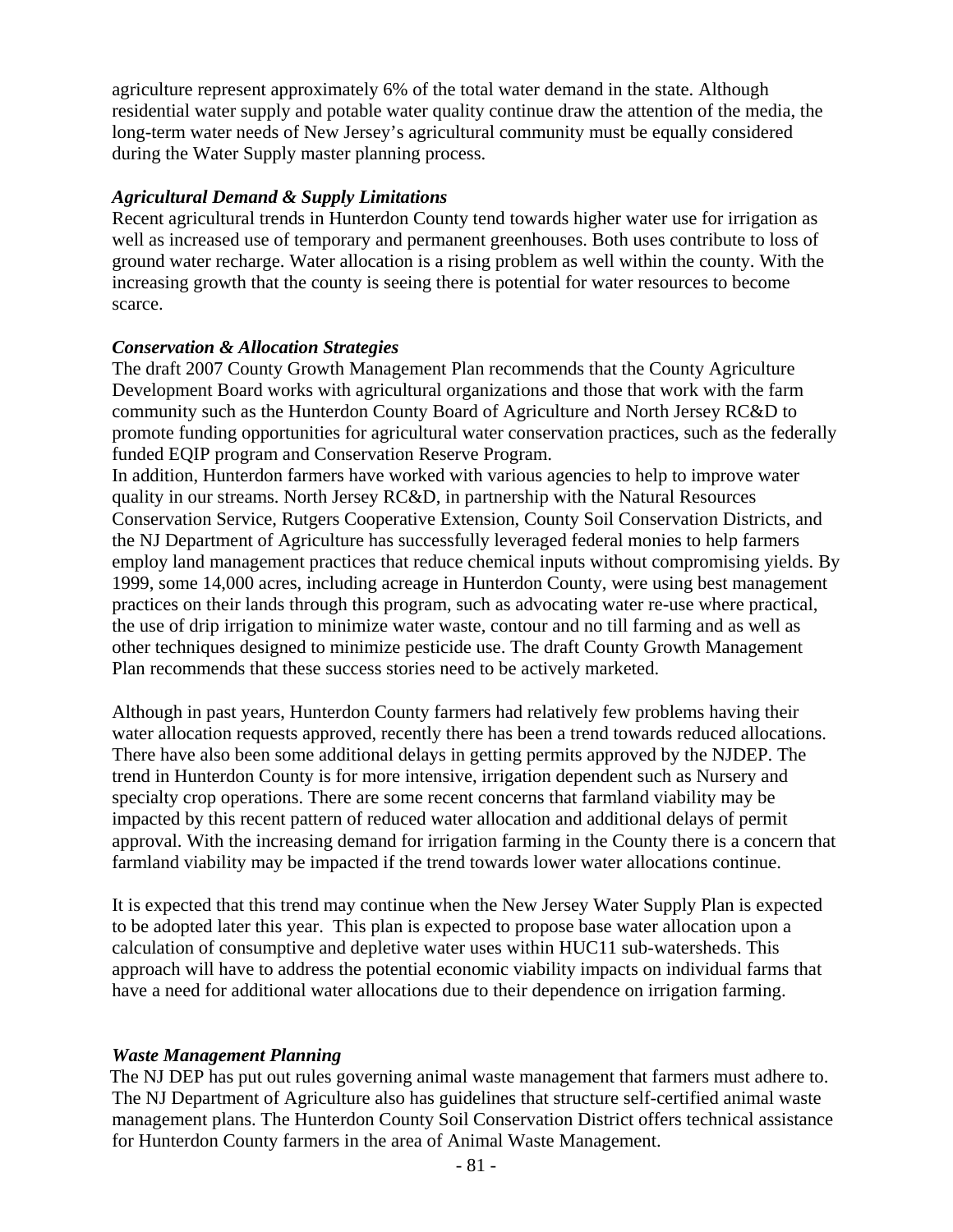agriculture represent approximately 6% of the total water demand in the state. Although residential water supply and potable water quality continue draw the attention of the media, the long-term water needs of New Jersey's agricultural community must be equally considered during the Water Supply master planning process.

### *Agricultural Demand & Supply Limitations*

Recent agricultural trends in Hunterdon County tend towards higher water use for irrigation as well as increased use of temporary and permanent greenhouses. Both uses contribute to loss of ground water recharge. Water allocation is a rising problem as well within the county. With the increasing growth that the county is seeing there is potential for water resources to become scarce.

### *Conservation & Allocation Strategies*

The draft 2007 County Growth Management Plan recommends that the County Agriculture Development Board works with agricultural organizations and those that work with the farm community such as the Hunterdon County Board of Agriculture and North Jersey RC&D to promote funding opportunities for agricultural water conservation practices, such as the federally funded EQIP program and Conservation Reserve Program.

In addition, Hunterdon farmers have worked with various agencies to help to improve water quality in our streams. North Jersey RC&D, in partnership with the Natural Resources Conservation Service, Rutgers Cooperative Extension, County Soil Conservation Districts, and the NJ Department of Agriculture has successfully leveraged federal monies to help farmers employ land management practices that reduce chemical inputs without compromising yields. By 1999, some 14,000 acres, including acreage in Hunterdon County, were using best management practices on their lands through this program, such as advocating water re-use where practical, the use of drip irrigation to minimize water waste, contour and no till farming and as well as other techniques designed to minimize pesticide use. The draft County Growth Management Plan recommends that these success stories need to be actively marketed.

Although in past years, Hunterdon County farmers had relatively few problems having their water allocation requests approved, recently there has been a trend towards reduced allocations. There have also been some additional delays in getting permits approved by the NJDEP. The trend in Hunterdon County is for more intensive, irrigation dependent such as Nursery and specialty crop operations. There are some recent concerns that farmland viability may be impacted by this recent pattern of reduced water allocation and additional delays of permit approval. With the increasing demand for irrigation farming in the County there is a concern that farmland viability may be impacted if the trend towards lower water allocations continue.

It is expected that this trend may continue when the New Jersey Water Supply Plan is expected to be adopted later this year. This plan is expected to propose base water allocation upon a calculation of consumptive and depletive water uses within HUC11 sub-watersheds. This approach will have to address the potential economic viability impacts on individual farms that have a need for additional water allocations due to their dependence on irrigation farming.

### *Waste Management Planning*

The NJ DEP has put out rules governing animal waste management that farmers must adhere to. The NJ Department of Agriculture also has guidelines that structure self-certified animal waste management plans. The Hunterdon County Soil Conservation District offers technical assistance for Hunterdon County farmers in the area of Animal Waste Management.